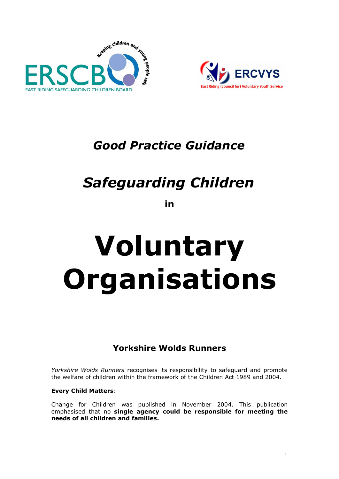



## Good Practice Guidance

# Safeguarding Children

in

# Voluntary Organisations

### Yorkshire Wolds Runners

Yorkshire Wolds Runners recognises its responsibility to safeguard and promote the welfare of children within the framework of the Children Act 1989 and 2004.

#### Every Child Matters:

Change for Children was published in November 2004. This publication emphasised that no single agency could be responsible for meeting the needs of all children and families.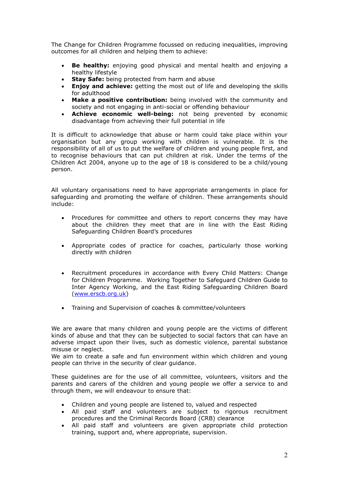The Change for Children Programme focussed on reducing inequalities, improving outcomes for all children and helping them to achieve:

- Be healthy: enjoying good physical and mental health and enjoying a healthy lifestyle
- Stay Safe: being protected from harm and abuse<br>• Enjoy and achieve: getting the most out of life
- **Enjoy and achieve:** getting the most out of life and developing the skills for adulthood
- Make a positive contribution: being involved with the community and society and not engaging in anti-social or offending behaviour
- Achieve economic well-being: not being prevented by economic disadvantage from achieving their full potential in life

It is difficult to acknowledge that abuse or harm could take place within your organisation but any group working with children is vulnerable. It is the responsibility of all of us to put the welfare of children and young people first, and to recognise behaviours that can put children at risk. Under the terms of the Children Act 2004, anyone up to the age of 18 is considered to be a child/young person.

All voluntary organisations need to have appropriate arrangements in place for safeguarding and promoting the welfare of children. These arrangements should include:

- Procedures for committee and others to report concerns they may have about the children they meet that are in line with the East Riding Safeguarding Children Board's procedures
- Appropriate codes of practice for coaches, particularly those working directly with children
- Recruitment procedures in accordance with Every Child Matters: Change for Children Programme. Working Together to Safeguard Children Guide to Inter Agency Working, and the East Riding Safeguarding Children Board (www.erscb.org.uk)
- Training and Supervision of coaches & committee/volunteers

We are aware that many children and young people are the victims of different kinds of abuse and that they can be subjected to social factors that can have an adverse impact upon their lives, such as domestic violence, parental substance misuse or neglect.

We aim to create a safe and fun environment within which children and young people can thrive in the security of clear guidance.

These guidelines are for the use of all committee, volunteers, visitors and the parents and carers of the children and young people we offer a service to and through them, we will endeavour to ensure that:

- Children and young people are listened to, valued and respected
- All paid staff and volunteers are subject to rigorous recruitment procedures and the Criminal Records Board (CRB) clearance
- All paid staff and volunteers are given appropriate child protection training, support and, where appropriate, supervision.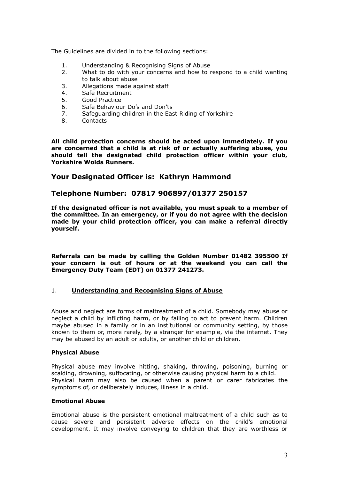The Guidelines are divided in to the following sections:

- 1. Understanding & Recognising Signs of Abuse<br>2. What to do with your concerns and how to r
- What to do with your concerns and how to respond to a child wanting to talk about abuse
- 3. Allegations made against staff
- 4. Safe Recruitment<br>5. Good Practice
- 5. Good Practice
- 6. Safe Behaviour Do's and Don'ts
- 7. Safeguarding children in the East Riding of Yorkshire
- 8. Contacts

All child protection concerns should be acted upon immediately. If you are concerned that a child is at risk of or actually suffering abuse, you should tell the designated child protection officer within your club, Yorkshire Wolds Runners.

#### Your Designated Officer is: Kathryn Hammond

#### Telephone Number: 07817 906897/01377 250157

If the designated officer is not available, you must speak to a member of the committee. In an emergency, or if you do not agree with the decision made by your child protection officer, you can make a referral directly yourself.

Referrals can be made by calling the Golden Number 01482 395500 If your concern is out of hours or at the weekend you can call the Emergency Duty Team (EDT) on 01377 241273.

#### 1. Understanding and Recognising Signs of Abuse

Abuse and neglect are forms of maltreatment of a child. Somebody may abuse or neglect a child by inflicting harm, or by failing to act to prevent harm. Children maybe abused in a family or in an institutional or community setting, by those known to them or, more rarely, by a stranger for example, via the internet. They may be abused by an adult or adults, or another child or children.

#### Physical Abuse

Physical abuse may involve hitting, shaking, throwing, poisoning, burning or scalding, drowning, suffocating, or otherwise causing physical harm to a child. Physical harm may also be caused when a parent or carer fabricates the symptoms of, or deliberately induces, illness in a child.

#### Emotional Abuse

Emotional abuse is the persistent emotional maltreatment of a child such as to cause severe and persistent adverse effects on the child's emotional development. It may involve conveying to children that they are worthless or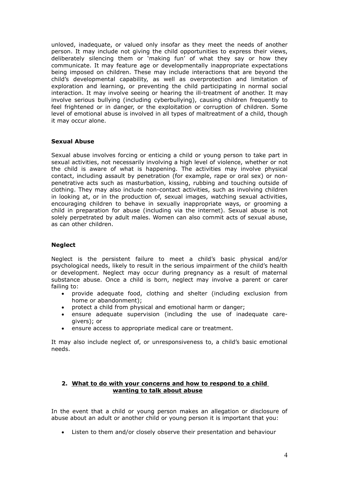unloved, inadequate, or valued only insofar as they meet the needs of another person. It may include not giving the child opportunities to express their views, deliberately silencing them or 'making fun' of what they say or how they communicate. It may feature age or developmentally inappropriate expectations being imposed on children. These may include interactions that are beyond the child's developmental capability, as well as overprotection and limitation of exploration and learning, or preventing the child participating in normal social interaction. It may involve seeing or hearing the ill-treatment of another. It may involve serious bullying (including cyberbullying), causing children frequently to feel frightened or in danger, or the exploitation or corruption of children. Some level of emotional abuse is involved in all types of maltreatment of a child, though it may occur alone.

#### Sexual Abuse

Sexual abuse involves forcing or enticing a child or young person to take part in sexual activities, not necessarily involving a high level of violence, whether or not the child is aware of what is happening. The activities may involve physical contact, including assault by penetration (for example, rape or oral sex) or nonpenetrative acts such as masturbation, kissing, rubbing and touching outside of clothing. They may also include non-contact activities, such as involving children in looking at, or in the production of, sexual images, watching sexual activities, encouraging children to behave in sexually inappropriate ways, or grooming a child in preparation for abuse (including via the internet). Sexual abuse is not solely perpetrated by adult males. Women can also commit acts of sexual abuse, as can other children.

#### Neglect

Neglect is the persistent failure to meet a child's basic physical and/or psychological needs, likely to result in the serious impairment of the child's health or development. Neglect may occur during pregnancy as a result of maternal substance abuse. Once a child is born, neglect may involve a parent or carer failing to:

- provide adequate food, clothing and shelter (including exclusion from home or abandonment);
- protect a child from physical and emotional harm or danger;
- ensure adequate supervision (including the use of inadequate caregivers); or
- ensure access to appropriate medical care or treatment.

It may also include neglect of, or unresponsiveness to, a child's basic emotional needs.

#### 2. What to do with your concerns and how to respond to a child wanting to talk about abuse

In the event that a child or young person makes an allegation or disclosure of abuse about an adult or another child or young person it is important that you:

Listen to them and/or closely observe their presentation and behaviour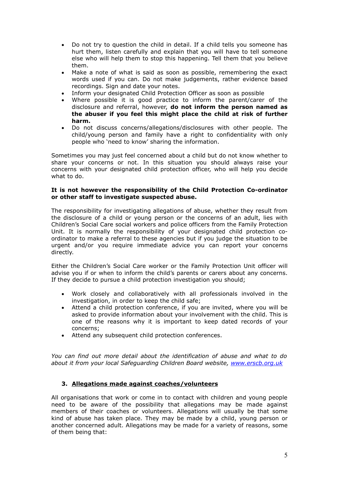- Do not try to question the child in detail. If a child tells you someone has hurt them, listen carefully and explain that you will have to tell someone else who will help them to stop this happening. Tell them that you believe them.
- Make a note of what is said as soon as possible, remembering the exact words used if you can. Do not make judgements, rather evidence based recordings. Sign and date your notes.
- Inform your designated Child Protection Officer as soon as possible
- Where possible it is good practice to inform the parent/carer of the disclosure and referral, however, **do not inform the person named as** the abuser if you feel this might place the child at risk of further harm.
- Do not discuss concerns/allegations/disclosures with other people. The child/young person and family have a right to confidentiality with only people who 'need to know' sharing the information.

Sometimes you may just feel concerned about a child but do not know whether to share your concerns or not. In this situation you should always raise your concerns with your designated child protection officer, who will help you decide what to do.

#### It is not however the responsibility of the Child Protection Co-ordinator or other staff to investigate suspected abuse.

The responsibility for investigating allegations of abuse, whether they result from the disclosure of a child or young person or the concerns of an adult, lies with Children's Social Care social workers and police officers from the Family Protection Unit. It is normally the responsibility of your designated child protection coordinator to make a referral to these agencies but if you judge the situation to be urgent and/or you require immediate advice you can report your concerns directly.

Either the Children's Social Care worker or the Family Protection Unit officer will advise you if or when to inform the child's parents or carers about any concerns. If they decide to pursue a child protection investigation you should;

- Work closely and collaboratively with all professionals involved in the investigation, in order to keep the child safe;
- Attend a child protection conference, if you are invited, where you will be asked to provide information about your involvement with the child. This is one of the reasons why it is important to keep dated records of your concerns;
- Attend any subsequent child protection conferences.

You can find out more detail about the identification of abuse and what to do about it from your local Safeguarding Children Board website, www.erscb.org.uk

#### 3. Allegations made against coaches/volunteers

All organisations that work or come in to contact with children and young people need to be aware of the possibility that allegations may be made against members of their coaches or volunteers. Allegations will usually be that some kind of abuse has taken place. They may be made by a child, young person or another concerned adult. Allegations may be made for a variety of reasons, some of them being that: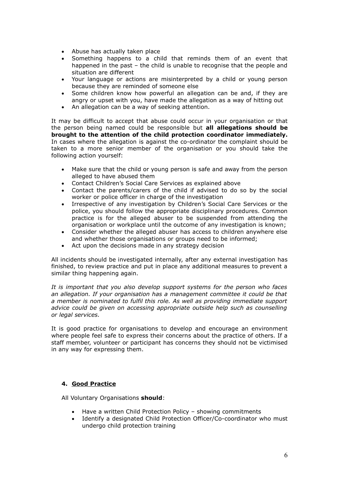- Abuse has actually taken place
- Something happens to a child that reminds them of an event that happened in the past – the child is unable to recognise that the people and situation are different
- Your language or actions are misinterpreted by a child or young person because they are reminded of someone else
- Some children know how powerful an allegation can be and, if they are angry or upset with you, have made the allegation as a way of hitting out
- An allegation can be a way of seeking attention.

It may be difficult to accept that abuse could occur in your organisation or that the person being named could be responsible but all allegations should be brought to the attention of the child protection coordinator immediately. In cases where the allegation is against the co-ordinator the complaint should be taken to a more senior member of the organisation or you should take the following action yourself:

- Make sure that the child or young person is safe and away from the person alleged to have abused them
- Contact Children's Social Care Services as explained above
- Contact the parents/carers of the child if advised to do so by the social worker or police officer in charge of the investigation
- Irrespective of any investigation by Children's Social Care Services or the police, you should follow the appropriate disciplinary procedures. Common practice is for the alleged abuser to be suspended from attending the organisation or workplace until the outcome of any investigation is known;
- Consider whether the alleged abuser has access to children anywhere else and whether those organisations or groups need to be informed;
- Act upon the decisions made in any strategy decision

All incidents should be investigated internally, after any external investigation has finished, to review practice and put in place any additional measures to prevent a similar thing happening again.

It is important that you also develop support systems for the person who faces an allegation. If your organisation has a management committee it could be that a member is nominated to fulfil this role. As well as providing immediate support advice could be given on accessing appropriate outside help such as counselling or legal services.

It is good practice for organisations to develop and encourage an environment where people feel safe to express their concerns about the practice of others. If a staff member, volunteer or participant has concerns they should not be victimised in any way for expressing them.

#### 4. Good Practice

All Voluntary Organisations **should:** 

- Have a written Child Protection Policy showing commitments
- Identify a designated Child Protection Officer/Co-coordinator who must undergo child protection training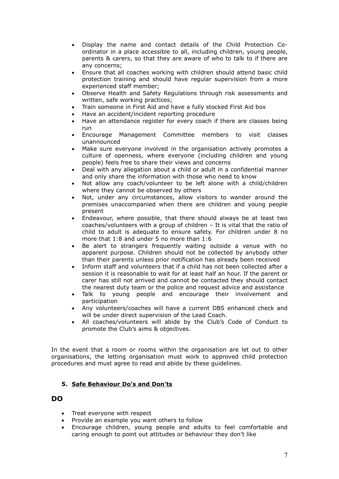- Display the name and contact details of the Child Protection Coordinator in a place accessible to all, including children, young people, parents & carers, so that they are aware of who to talk to if there are any concerns;
- Ensure that all coaches working with children should attend basic child protection training and should have regular supervision from a more experienced staff member;
- Observe Health and Safety Regulations through risk assessments and written, safe working practices;
- Train someone in First Aid and have a fully stocked First Aid box
- Have an accident/incident reporting procedure
- Have an attendance register for every coach if there are classes being run
- Encourage Management Committee members to visit classes unannounced
- Make sure everyone involved in the organisation actively promotes a culture of openness, where everyone (including children and young people) feels free to share their views and concerns
- Deal with any allegation about a child or adult in a confidential manner and only share the information with those who need to know
- Not allow any coach/volunteer to be left alone with a child/children where they cannot be observed by others
- Not, under any circumstances, allow visitors to wander around the premises unaccompanied when there are children and young people present
- Endeavour, where possible, that there should always be at least two coaches/volunteers with a group of children – It is vital that the ratio of child to adult is adequate to ensure safety. For children under 8 no more that 1:8 and under 5 no more than 1:6
- Be alert to strangers frequently waiting outside a venue with no apparent purpose. Children should not be collected by anybody other than their parents unless prior notification has already been received
- Inform staff and volunteers that if a child has not been collected after a session it is reasonable to wait for at least half an hour. If the parent or carer has still not arrived and cannot be contacted they should contact the nearest duty team or the police and request advice and assistance
- Talk to young people and encourage their involvement and participation
- Any volunteers/coaches will have a current DBS enhanced check and will be under direct supervision of the Lead Coach.
- All coaches/volunteers will abide by the Club's Code of Conduct to promote the Club's aims & objectives.

In the event that a room or rooms within the organisation are let out to other organisations, the letting organisation must work to approved child protection procedures and must agree to read and abide by these guidelines.

#### 5. Safe Behaviour Do's and Don'ts

#### DO

- Treat everyone with respect
- Provide an example you want others to follow
- Encourage children, young people and adults to feel comfortable and caring enough to point out attitudes or behaviour they don't like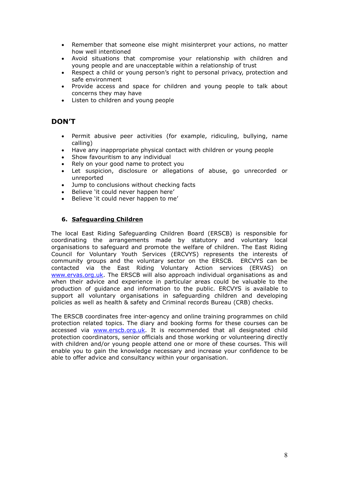- Remember that someone else might misinterpret your actions, no matter how well intentioned
- Avoid situations that compromise your relationship with children and young people and are unacceptable within a relationship of trust
- Respect a child or young person's right to personal privacy, protection and safe environment
- Provide access and space for children and young people to talk about concerns they may have
- Listen to children and young people

#### DON'T

- Permit abusive peer activities (for example, ridiculing, bullying, name calling)
- Have any inappropriate physical contact with children or young people
- Show favouritism to any individual
- Rely on your good name to protect you
- Let suspicion, disclosure or allegations of abuse, go unrecorded or unreported
- Jump to conclusions without checking facts
- Believe 'it could never happen here'
- Believe 'it could never happen to me'

#### 6. Safeguarding Children

The local East Riding Safeguarding Children Board (ERSCB) is responsible for coordinating the arrangements made by statutory and voluntary local organisations to safeguard and promote the welfare of children. The East Riding Council for Voluntary Youth Services (ERCVYS) represents the interests of community groups and the voluntary sector on the ERSCB. ERCVYS can be contacted via the East Riding Voluntary Action services (ERVAS) on www.ervas.org.uk. The ERSCB will also approach individual organisations as and when their advice and experience in particular areas could be valuable to the production of guidance and information to the public. ERCVYS is available to support all voluntary organisations in safeguarding children and developing policies as well as health & safety and Criminal records Bureau (CRB) checks.

The ERSCB coordinates free inter-agency and online training programmes on child protection related topics. The diary and booking forms for these courses can be accessed via www.erscb.org.uk. It is recommended that all designated child protection coordinators, senior officials and those working or volunteering directly with children and/or young people attend one or more of these courses. This will enable you to gain the knowledge necessary and increase your confidence to be able to offer advice and consultancy within your organisation.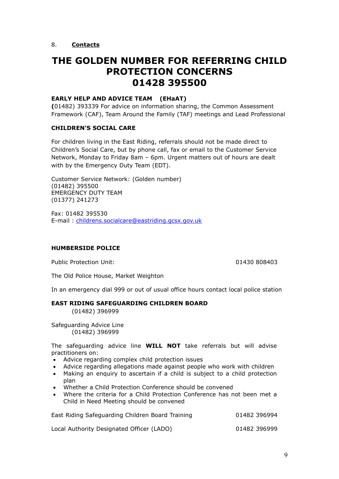## THE GOLDEN NUMBER FOR REFERRING CHILD PROTECTION CONCERNS 01428 395500

#### EARLY HELP AND ADVICE TEAM (EHaAT)

(01482) 393339 For advice on information sharing, the Common Assessment Framework (CAF), Team Around the Family (TAF) meetings and Lead Professional

#### CHILDREN'S SOCIAL CARE

For children living in the East Riding, referrals should not be made direct to Children's Social Care, but by phone call, fax or email to the Customer Service Network, Monday to Friday 8am – 6pm. Urgent matters out of hours are dealt with by the Emergency Duty Team (EDT).

Customer Service Network: (Golden number) (01482) 395500 EMERGENCY DUTY TEAM (01377) 241273

Fax: 01482 395530 E-mail : childrens.socialcare@eastriding.gcsx.gov.uk

#### HUMBERSIDE POLICE

Public Protection Unit: 01430 808403

The Old Police House, Market Weighton

In an emergency dial 999 or out of usual office hours contact local police station

#### EAST RIDING SAFEGUARDING CHILDREN BOARD

(01482) 396999

Safeguarding Advice Line (01482) 396999

The safeguarding advice line **WILL NOT** take referrals but will advise practitioners on:

- Advice regarding complex child protection issues
- Advice regarding allegations made against people who work with children
- Making an enquiry to ascertain if a child is subject to a child protection plan
- Whether a Child Protection Conference should be convened
- Where the criteria for a Child Protection Conference has not been met a Child in Need Meeting should be convened

| East Riding Safeguarding Children Board Training | 01482 396994 |
|--------------------------------------------------|--------------|
| Local Authority Designated Officer (LADO)        | 01482 396999 |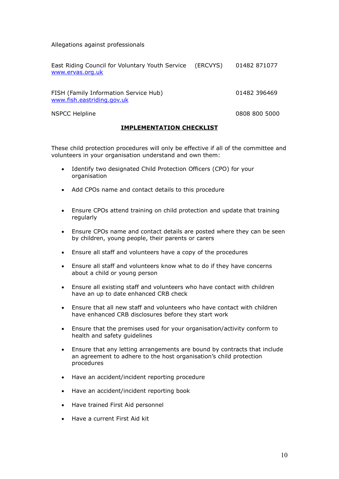Allegations against professionals

East Riding Council for Voluntary Youth Service (ERCVYS) 01482 871077 www.ervas.org.uk

| FISH (Family Information Service Hub)<br>www.fish.eastriding.gov.uk | 01482 396469  |
|---------------------------------------------------------------------|---------------|
| NSPCC Helpline                                                      | 0808 800 5000 |

#### IMPLEMENTATION CHECKLIST

These child protection procedures will only be effective if all of the committee and volunteers in your organisation understand and own them:

- Identify two designated Child Protection Officers (CPO) for your organisation
- Add CPOs name and contact details to this procedure
- Ensure CPOs attend training on child protection and update that training regularly
- Ensure CPOs name and contact details are posted where they can be seen by children, young people, their parents or carers
- Ensure all staff and volunteers have a copy of the procedures
- Ensure all staff and volunteers know what to do if they have concerns about a child or young person
- Ensure all existing staff and volunteers who have contact with children have an up to date enhanced CRB check
- Ensure that all new staff and volunteers who have contact with children have enhanced CRB disclosures before they start work
- Ensure that the premises used for your organisation/activity conform to health and safety guidelines
- Ensure that any letting arrangements are bound by contracts that include an agreement to adhere to the host organisation's child protection procedures
- Have an accident/incident reporting procedure
- Have an accident/incident reporting book
- Have trained First Aid personnel
- Have a current First Aid kit